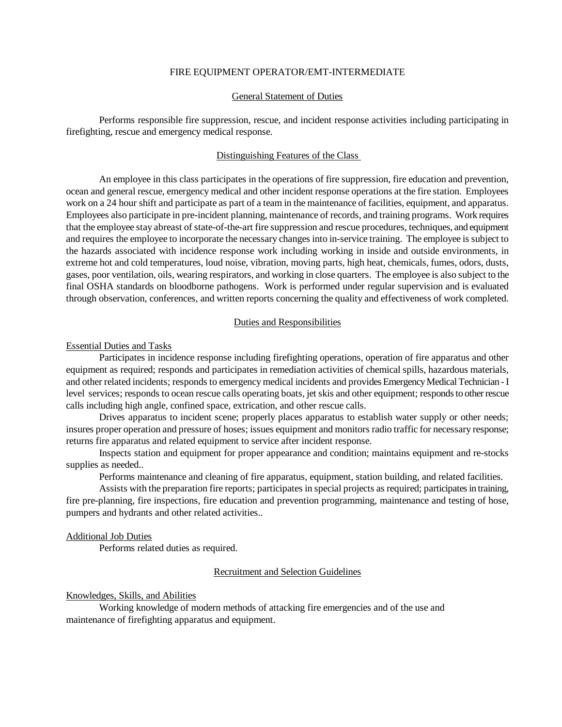#### FIRE EQUIPMENT OPERATOR/EMT-INTERMEDIATE

## General Statement of Duties

Performs responsible fire suppression, rescue, and incident response activities including participating in firefighting, rescue and emergency medical response.

### Distinguishing Features of the Class

An employee in this class participates in the operations of fire suppression, fire education and prevention, ocean and general rescue, emergency medical and other incident response operations at the fire station. Employees work on a 24 hour shift and participate as part of a team in the maintenance of facilities, equipment, and apparatus. Employees also participate in pre-incident planning, maintenance of records, and training programs. Work requires that the employee stay abreast of state-of-the-art fire suppression and rescue procedures, techniques, and equipment and requires the employee to incorporate the necessary changes into in-service training. The employee is subject to the hazards associated with incidence response work including working in inside and outside environments, in extreme hot and cold temperatures, loud noise, vibration, moving parts, high heat, chemicals, fumes, odors, dusts, gases, poor ventilation, oils, wearing respirators, and working in close quarters. The employee is also subject to the final OSHA standards on bloodborne pathogens. Work is performed under regular supervision and is evaluated through observation, conferences, and written reports concerning the quality and effectiveness of work completed.

#### Duties and Responsibilities

#### Essential Duties and Tasks

Participates in incidence response including firefighting operations, operation of fire apparatus and other equipment as required; responds and participates in remediation activities of chemical spills, hazardous materials, and other related incidents; responds to emergency medical incidents and provides Emergency Medical Technician -I level services; responds to ocean rescue calls operating boats, jet skis and other equipment; responds to other rescue calls including high angle, confined space, extrication, and other rescue calls.

Drives apparatus to incident scene; properly places apparatus to establish water supply or other needs; insures proper operation and pressure of hoses; issues equipment and monitors radio traffic for necessary response; returns fire apparatus and related equipment to service after incident response.

Inspects station and equipment for proper appearance and condition; maintains equipment and re-stocks supplies as needed..

Performs maintenance and cleaning of fire apparatus, equipment, station building, and related facilities.

Assists with the preparation fire reports; participates in special projects as required; participates in training, fire pre-planning, fire inspections, fire education and prevention programming, maintenance and testing of hose, pumpers and hydrants and other related activities..

#### Additional Job Duties

Performs related duties as required.

#### Recruitment and Selection Guidelines

### Knowledges, Skills, and Abilities

Working knowledge of modern methods of attacking fire emergencies and of the use and maintenance of firefighting apparatus and equipment.